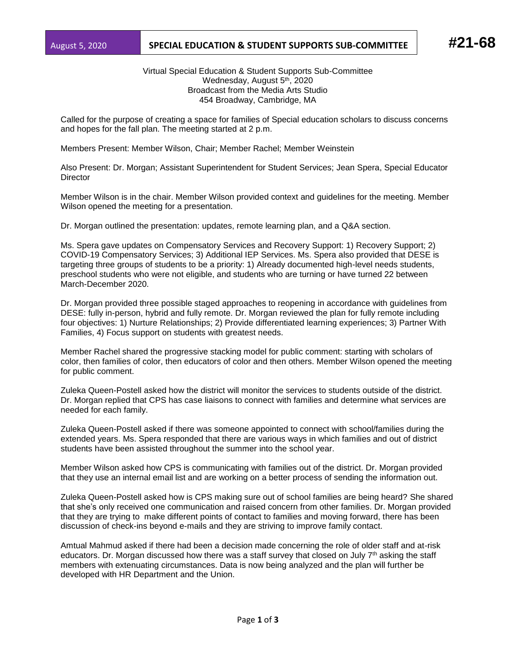## August 5, 2020 **SPECIAL EDUCATION & STUDENT SUPPORTS SUB-COMMITTEE #21-68**

Virtual Special Education & Student Supports Sub-Committee Wednesday, August 5<sup>th</sup>, 2020 Broadcast from the Media Arts Studio 454 Broadway, Cambridge, MA

Called for the purpose of creating a space for families of Special education scholars to discuss concerns and hopes for the fall plan. The meeting started at 2 p.m.

Members Present: Member Wilson, Chair; Member Rachel; Member Weinstein

Also Present: Dr. Morgan; Assistant Superintendent for Student Services; Jean Spera, Special Educator **Director** 

Member Wilson is in the chair. Member Wilson provided context and guidelines for the meeting. Member Wilson opened the meeting for a presentation.

Dr. Morgan outlined the presentation: updates, remote learning plan, and a Q&A section.

Ms. Spera gave updates on Compensatory Services and Recovery Support: 1) Recovery Support; 2) COVID-19 Compensatory Services; 3) Additional IEP Services. Ms. Spera also provided that DESE is targeting three groups of students to be a priority: 1) Already documented high-level needs students, preschool students who were not eligible, and students who are turning or have turned 22 between March-December 2020.

Dr. Morgan provided three possible staged approaches to reopening in accordance with guidelines from DESE: fully in-person, hybrid and fully remote. Dr. Morgan reviewed the plan for fully remote including four objectives: 1) Nurture Relationships; 2) Provide differentiated learning experiences; 3) Partner With Families, 4) Focus support on students with greatest needs.

Member Rachel shared the progressive stacking model for public comment: starting with scholars of color, then families of color, then educators of color and then others. Member Wilson opened the meeting for public comment.

Zuleka Queen-Postell asked how the district will monitor the services to students outside of the district. Dr. Morgan replied that CPS has case liaisons to connect with families and determine what services are needed for each family.

Zuleka Queen-Postell asked if there was someone appointed to connect with school/families during the extended years. Ms. Spera responded that there are various ways in which families and out of district students have been assisted throughout the summer into the school year.

Member Wilson asked how CPS is communicating with families out of the district. Dr. Morgan provided that they use an internal email list and are working on a better process of sending the information out.

Zuleka Queen-Postell asked how is CPS making sure out of school families are being heard? She shared that she's only received one communication and raised concern from other families. Dr. Morgan provided that they are trying to make different points of contact to families and moving forward, there has been discussion of check-ins beyond e-mails and they are striving to improve family contact.

Amtual Mahmud asked if there had been a decision made concerning the role of older staff and at-risk educators. Dr. Morgan discussed how there was a staff survey that closed on July  $7<sup>th</sup>$  asking the staff members with extenuating circumstances. Data is now being analyzed and the plan will further be developed with HR Department and the Union.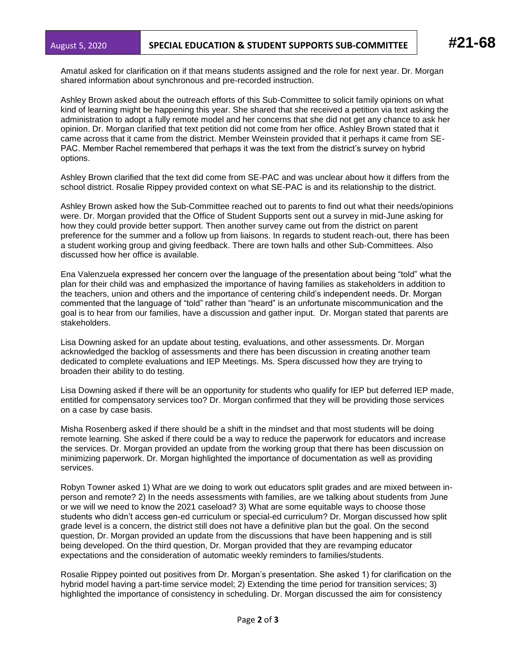Amatul asked for clarification on if that means students assigned and the role for next year. Dr. Morgan shared information about synchronous and pre-recorded instruction.

Ashley Brown asked about the outreach efforts of this Sub-Committee to solicit family opinions on what kind of learning might be happening this year. She shared that she received a petition via text asking the administration to adopt a fully remote model and her concerns that she did not get any chance to ask her opinion. Dr. Morgan clarified that text petition did not come from her office. Ashley Brown stated that it came across that it came from the district. Member Weinstein provided that it perhaps it came from SE-PAC. Member Rachel remembered that perhaps it was the text from the district's survey on hybrid options.

Ashley Brown clarified that the text did come from SE-PAC and was unclear about how it differs from the school district. Rosalie Rippey provided context on what SE-PAC is and its relationship to the district.

Ashley Brown asked how the Sub-Committee reached out to parents to find out what their needs/opinions were. Dr. Morgan provided that the Office of Student Supports sent out a survey in mid-June asking for how they could provide better support. Then another survey came out from the district on parent preference for the summer and a follow up from liaisons. In regards to student reach-out, there has been a student working group and giving feedback. There are town halls and other Sub-Committees. Also discussed how her office is available.

Ena Valenzuela expressed her concern over the language of the presentation about being "told" what the plan for their child was and emphasized the importance of having families as stakeholders in addition to the teachers, union and others and the importance of centering child's independent needs. Dr. Morgan commented that the language of "told" rather than "heard" is an unfortunate miscommunication and the goal is to hear from our families, have a discussion and gather input. Dr. Morgan stated that parents are stakeholders.

Lisa Downing asked for an update about testing, evaluations, and other assessments. Dr. Morgan acknowledged the backlog of assessments and there has been discussion in creating another team dedicated to complete evaluations and IEP Meetings. Ms. Spera discussed how they are trying to broaden their ability to do testing.

Lisa Downing asked if there will be an opportunity for students who qualify for IEP but deferred IEP made, entitled for compensatory services too? Dr. Morgan confirmed that they will be providing those services on a case by case basis.

Misha Rosenberg asked if there should be a shift in the mindset and that most students will be doing remote learning. She asked if there could be a way to reduce the paperwork for educators and increase the services. Dr. Morgan provided an update from the working group that there has been discussion on minimizing paperwork. Dr. Morgan highlighted the importance of documentation as well as providing services.

Robyn Towner asked 1) What are we doing to work out educators split grades and are mixed between inperson and remote? 2) In the needs assessments with families, are we talking about students from June or we will we need to know the 2021 caseload? 3) What are some equitable ways to choose those students who didn't access gen-ed curriculum or special-ed curriculum? Dr. Morgan discussed how split grade level is a concern, the district still does not have a definitive plan but the goal. On the second question, Dr. Morgan provided an update from the discussions that have been happening and is still being developed. On the third question, Dr. Morgan provided that they are revamping educator expectations and the consideration of automatic weekly reminders to families/students.

Rosalie Rippey pointed out positives from Dr. Morgan's presentation. She asked 1) for clarification on the hybrid model having a part-time service model; 2) Extending the time period for transition services; 3) highlighted the importance of consistency in scheduling. Dr. Morgan discussed the aim for consistency